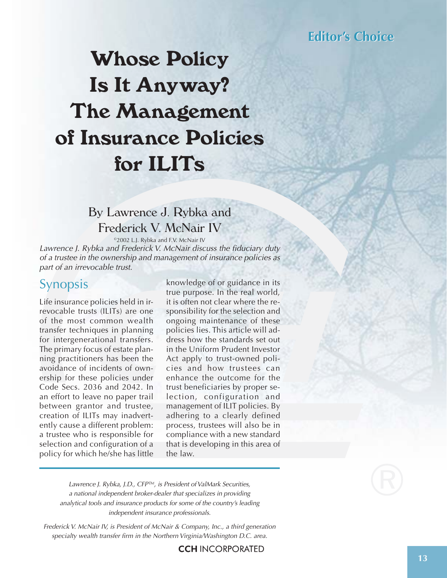# **Whose Policy Is It Anyway? The Management of Insurance Policies for ILITs**

### By Lawrence J. Rybka and Frederick V. McNair IV

©2002 L.J. Rybka and F.V. McNair IV

Lawrence J. Rybka and Frederick V. McNair discuss the fiduciary duty of a trustee in the ownership and management of insurance policies as part of an irrevocable trust.

### Synopsis

Life insurance policies held in irrevocable trusts (ILITs) are one of the most common wealth transfer techniques in planning for intergenerational transfers. The primary focus of estate planning practitioners has been the avoidance of incidents of ownership for these policies under Code Secs. 2036 and 2042. In an effort to leave no paper trail between grantor and trustee, creation of ILITs may inadvertently cause a different problem: a trustee who is responsible for selection and configuration of a policy for which he/she has little

knowledge of or guidance in its true purpose. In the real world, it is often not clear where the responsibility for the selection and ongoing maintenance of these policies lies. This article will address how the standards set out in the Uniform Prudent Investor Act apply to trust-owned policies and how trustees can enhance the outcome for the trust beneficiaries by proper selection, configuration and management of ILIT policies. By adhering to a clearly defined process, trustees will also be in compliance with a new standard that is developing in this area of the law.

Lawrence J. Rybka, J.D., CFP™, is President of ValMark Securities, a national independent broker-dealer that specializes in providing analytical tools and insurance products for some of the country's leading independent insurance professionals.

Frederick V. McNair IV, is President of McNair & Company, Inc., a third generation specialty wealth transfer firm in the Northern Virginia/Washington D.C. area.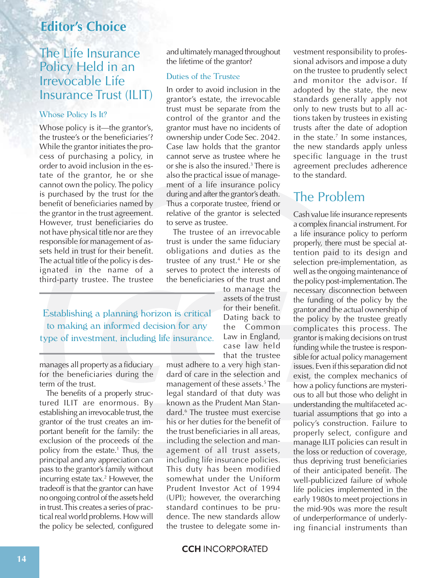### The Life Insurance Policy Held in an Irrevocable Life Insurance Trust (ILIT)

#### Whose Policy Is It?

Whose policy is it—the grantor's, the trustee's or the beneficiaries'? While the grantor initiates the process of purchasing a policy, in order to avoid inclusion in the estate of the grantor, he or she cannot own the policy. The policy is purchased by the trust for the benefit of beneficiaries named by the grantor in the trust agreement. However, trust beneficiaries do not have physical title nor are they responsible for management of assets held in trust for their benefit. The actual title of the policy is designated in the name of a third-party trustee. The trustee

and ultimately managed throughout the lifetime of the grantor?

#### Duties of the Trustee

In order to avoid inclusion in the grantor's estate, the irrevocable trust must be separate from the control of the grantor and the grantor must have no incidents of ownership under Code Sec. 2042. Case law holds that the grantor cannot serve as trustee where he or she is also the insured.3 There is also the practical issue of management of a life insurance policy during and after the grantor's death. Thus a corporate trustee, friend or relative of the grantor is selected to serve as trustee.

The trustee of an irrevocable trust is under the same fiduciary obligations and duties as the trustee of any trust.4 He or she serves to protect the interests of the beneficiaries of the trust and

> to manage the assets of the trust for their benefit. Dating back to the Common Law in England, case law held that the trustee

Establishing a planning horizon is critical to making an informed decision for any type of investment, including life insurance.

manages all property as a fiduciary for the beneficiaries during the term of the trust.

The benefits of a properly structured ILIT are enormous. By establishing an irrevocable trust, the grantor of the trust creates an important benefit for the family: the exclusion of the proceeds of the policy from the estate.1 Thus, the principal and any appreciation can pass to the grantor's family without incurring estate tax.<sup>2</sup> However, the tradeoff is that the grantor can have no ongoing control of the assets held in trust. This creates a series of practical real world problems. How will the policy be selected, configured

must adhere to a very high standard of care in the selection and management of these assets.5 The legal standard of that duty was known as the Prudent Man Standard.6 The trustee must exercise his or her duties for the benefit of the trust beneficiaries in all areas, including the selection and management of all trust assets, including life insurance policies. This duty has been modified somewhat under the Uniform Prudent Investor Act of 1994 (UPI); however, the overarching standard continues to be prudence. The new standards allow the trustee to delegate some investment responsibility to professional advisors and impose a duty on the trustee to prudently select and monitor the advisor. If adopted by the state, the new standards generally apply not only to new trusts but to all actions taken by trustees in existing trusts after the date of adoption in the state. $<sup>7</sup>$  In some instances,</sup> the new standards apply unless specific language in the trust agreement precludes adherence to the standard.

# The Problem

Cash value life insurance represents a complex financial instrument. For a life insurance policy to perform properly, there must be special attention paid to its design and selection pre-implementation, as well as the ongoing maintenance of the policy post-implementation. The necessary disconnection between the funding of the policy by the grantor and the actual ownership of the policy by the trustee greatly complicates this process. The grantor is making decisions on trust funding while the trustee is responsible for actual policy management issues. Even if this separation did not exist, the complex mechanics of how a policy functions are mysterious to all but those who delight in understanding the multifaceted actuarial assumptions that go into a policy's construction. Failure to properly select, configure and manage ILIT policies can result in the loss or reduction of coverage, thus depriving trust beneficiaries of their anticipated benefit. The well-publicized failure of whole life policies implemented in the early 1980s to meet projections in the mid-90s was more the result of underperformance of underlying financial instruments than

**CCH INCORPORATED**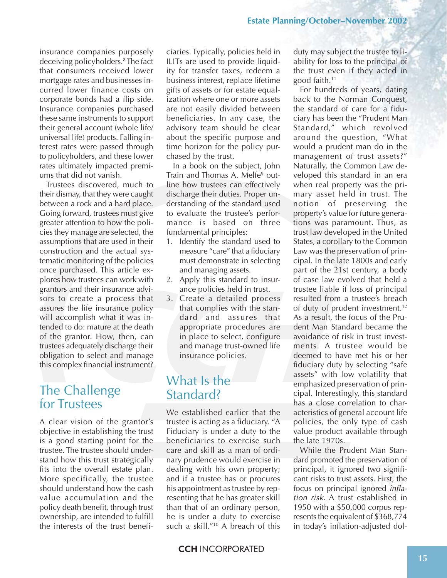insurance companies purposely deceiving policyholders.8 The fact that consumers received lower mortgage rates and businesses incurred lower finance costs on corporate bonds had a flip side. Insurance companies purchased these same instruments to support their general account (whole life/ universal life) products. Falling interest rates were passed through to policyholders, and these lower rates ultimately impacted premiums that did not vanish.

Trustees discovered, much to their dismay, that they were caught between a rock and a hard place. Going forward, trustees must give greater attention to how the policies they manage are selected, the assumptions that are used in their construction and the actual systematic monitoring of the policies once purchased. This article explores how trustees can work with grantors and their insurance advisors to create a process that assures the life insurance policy will accomplish what it was intended to do: mature at the death of the grantor. How, then, can trustees adequately discharge their obligation to select and manage this complex financial instrument?

## The Challenge for Trustees

A clear vision of the grantor's objective in establishing the trust is a good starting point for the trustee. The trustee should understand how this trust strategically fits into the overall estate plan. More specifically, the trustee should understand how the cash value accumulation and the policy death benefit, through trust ownership, are intended to fulfill the interests of the trust beneficiaries. Typically, policies held in ILITs are used to provide liquidity for transfer taxes, redeem a business interest, replace lifetime gifts of assets or for estate equalization where one or more assets are not easily divided between beneficiaries. In any case, the advisory team should be clear about the specific purpose and time horizon for the policy purchased by the trust.

In a book on the subject, John Train and Thomas A. Melfe<sup>9</sup> outline how trustees can effectively discharge their duties. Proper understanding of the standard used to evaluate the trustee's performance is based on three fundamental principles:

- 1. Identify the standard used to measure "care" that a fiduciary must demonstrate in selecting and managing assets.
- 2. Apply this standard to insurance policies held in trust.
- 3. Create a detailed process that complies with the standard and assures that appropriate procedures are in place to select, configure and manage trust-owned life insurance policies.

# What Is the Standard?

We established earlier that the trustee is acting as a fiduciary. "A Fiduciary is under a duty to the beneficiaries to exercise such care and skill as a man of ordinary prudence would exercise in dealing with his own property; and if a trustee has or procures his appointment as trustee by representing that he has greater skill than that of an ordinary person, he is under a duty to exercise such a skill."10 A breach of this

duty may subject the trustee to liability for loss to the principal of the trust even if they acted in good faith.11

For hundreds of years, dating back to the Norman Conquest, the standard of care for a fiduciary has been the "Prudent Man Standard," which revolved around the question, "What would a prudent man do in the management of trust assets?" Naturally, the Common Law developed this standard in an era when real property was the primary asset held in trust. The notion of preserving the property's value for future generations was paramount. Thus, as trust law developed in the United States, a corollary to the Common Law was the preservation of principal. In the late 1800s and early part of the 21st century, a body of case law evolved that held a trustee liable if loss of principal resulted from a trustee's breach of duty of prudent investment.12 As a result, the focus of the Prudent Man Standard became the avoidance of risk in trust investments. A trustee would be deemed to have met his or her fiduciary duty by selecting "safe assets" with low volatility that emphasized preservation of principal. Interestingly, this standard has a close correlation to characteristics of general account life policies, the only type of cash value product available through the late 1970s.

While the Prudent Man Standard promoted the preservation of principal, it ignored two significant risks to trust assets. First, the focus on principal ignored inflation risk. A trust established in 1950 with a \$50,000 corpus represents the equivalent of \$368,774 in today's inflation-adjusted dol-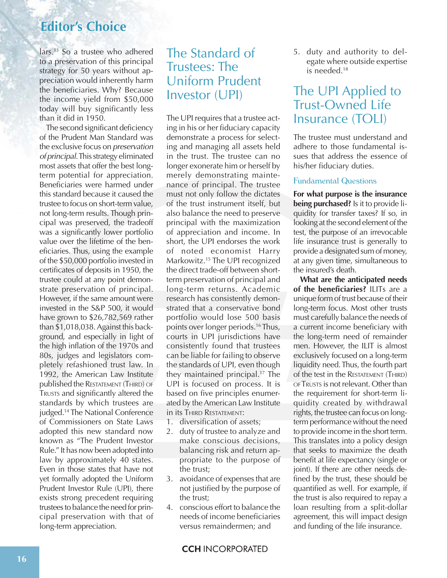lars.13 So a trustee who adhered to a preservation of this principal strategy for 50 years without appreciation would inherently harm the beneficiaries. Why? Because the income yield from \$50,000 today will buy significantly less than it did in 1950.

The second significant deficiency of the Prudent Man Standard was the exclusive focus on preservation of principal. This strategy eliminated most assets that offer the best longterm potential for appreciation. Beneficiaries were harmed under this standard because it caused the trustee to focus on short-term value, not long-term results. Though principal was preserved, the tradeoff was a significantly lower portfolio value over the lifetime of the beneficiaries. Thus, using the example of the \$50,000 portfolio invested in certificates of deposits in 1950, the trustee could at any point demonstrate preservation of principal. However, if the same amount were invested in the S&P 500, it would have grown to \$26,782,569 rather than \$1,018,038. Against this background, and especially in light of the high inflation of the 1970s and 80s, judges and legislators completely refashioned trust law. In 1992, the American Law Institute published the RESTATEMENT (THIRD) OF TRUSTS and significantly altered the standards by which trustees are judged.14 The National Conference of Commissioners on State Laws adopted this new standard now known as "The Prudent Investor Rule." It has now been adopted into law by approximately 40 states. Even in those states that have not yet formally adopted the Uniform Prudent Investor Rule (UPI), there exists strong precedent requiring trustees to balance the need for principal preservation with that of long-term appreciation.

# The Standard of Trustees: The Uniform Prudent Investor (UPI)

The UPI requires that a trustee acting in his or her fiduciary capacity demonstrate a process for selecting and managing all assets held in the trust. The trustee can no longer exonerate him or herself by merely demonstrating maintenance of principal. The trustee must not only follow the dictates of the trust instrument itself, but also balance the need to preserve principal with the maximization of appreciation and income. In short, the UPI endorses the work of noted economist Harry Markowitz.<sup>15</sup> The UPI recognized the direct trade-off between shortterm preservation of principal and long-term returns. Academic research has consistently demonstrated that a conservative bond portfolio would lose 500 basis points over longer periods.16 Thus, courts in UPI jurisdictions have consistently found that trustees can be liable for failing to observe the standards of UPI, even though they maintained principal.17 The UPI is focused on process. It is based on five principles enumerated by the American Law Institute in its THIRD RESTATEMENT:

- 1. diversification of assets;
- 2. duty of trustee to analyze and make conscious decisions, balancing risk and return appropriate to the purpose of the trust;
- 3. avoidance of expenses that are not justified by the purpose of the trust;
- 4. conscious effort to balance the needs of income beneficiaries versus remaindermen; and

5. duty and authority to delegate where outside expertise is needed.18

# The UPI Applied to Trust-Owned Life Insurance (TOLI)

The trustee must understand and adhere to those fundamental issues that address the essence of his/her fiduciary duties.

#### Fundamental Questions

**For what purpose is the insurance being purchased?** Is it to provide liquidity for transfer taxes? If so, in looking at the second element of the test, the purpose of an irrevocable life insurance trust is generally to provide a designated sum of money, at any given time, simultaneous to the insured's death.

**What are the anticipated needs of the beneficiaries?** ILITs are a unique form of trust because of their long-term focus. Most other trusts must carefully balance the needs of a current income beneficiary with the long-term need of remainder men. However, the ILIT is almost exclusively focused on a long-term liquidity need. Thus, the fourth part of the test in the RESTATEMENT (THIRD) OF TRUSTS is not relevant. Other than the requirement for short-term liquidity created by withdrawal rights, the trustee can focus on longterm performance without the need to provide income in the short term. This translates into a policy design that seeks to maximize the death benefit at life expectancy (single or joint). If there are other needs defined by the trust, these should be quantified as well. For example, if the trust is also required to repay a loan resulting from a split-dollar agreement, this will impact design and funding of the life insurance.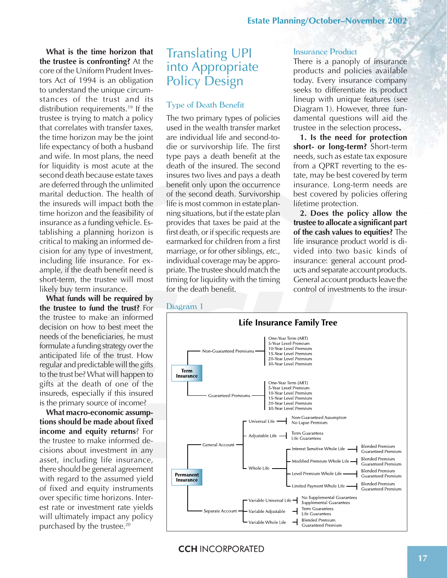**What is the time horizon that the trustee is confronting?** At the core of the Uniform Prudent Investors Act of 1994 is an obligation to understand the unique circumstances of the trust and its distribution requirements.<sup>19</sup> If the trustee is trying to match a policy that correlates with transfer taxes, the time horizon may be the joint life expectancy of both a husband and wife. In most plans, the need for liquidity is most acute at the second death because estate taxes are deferred through the unlimited marital deduction. The health of the insureds will impact both the time horizon and the feasibility of insurance as a funding vehicle. Establishing a planning horizon is critical to making an informed decision for any type of investment, including life insurance. For example, if the death benefit need is short-term, the trustee will most likely buy term insurance.

**What funds will be required by the trustee to fund the trust?** For the trustee to make an informed decision on how to best meet the needs of the beneficiaries, he must formulate a funding strategy over the anticipated life of the trust. How regular and predictable will the gifts to the trust be? What will happen to gifts at the death of one of the insureds, especially if this insured is the primary source of income?

**What macro-economic assumptions should be made about fixed income and equity returns**? For the trustee to make informed decisions about investment in any asset, including life insurance, there should be general agreement with regard to the assumed yield of fixed and equity instruments over specific time horizons. Interest rate or investment rate yields will ultimately impact any policy purchased by the trustee.20

# Translating UPI into Appropriate Policy Design

#### Type of Death Benefit

The two primary types of policies used in the wealth transfer market are individual life and second-todie or survivorship life. The first type pays a death benefit at the death of the insured. The second insures two lives and pays a death benefit only upon the occurrence of the second death. Survivorship life is most common in estate planning situations, but if the estate plan provides that taxes be paid at the first death, or if specific requests are earmarked for children from a first marriage, or for other siblings, etc., individual coverage may be appropriate. The trustee should match the timing for liquidity with the timing for the death benefit.

#### Insurance Product

There is a panoply of insurance products and policies available today. Every insurance company seeks to differentiate its product lineup with unique features (see Diagram 1). However, three fundamental questions will aid the trustee in the selection process**.**

**1. Is the need for protection short- or long-term?** Short-term needs, such as estate tax exposure from a QPRT reverting to the estate, may be best covered by term insurance. Long-term needs are best covered by policies offering lifetime protection.

**2. Does the policy allow the trustee to allocate a significant part of the cash values to equities?** The life insurance product world is divided into two basic kinds of insurance: general account products and separate account products. General account products leave the control of investments to the insur-

#### Diagram 1



**CCH INCORPORATED**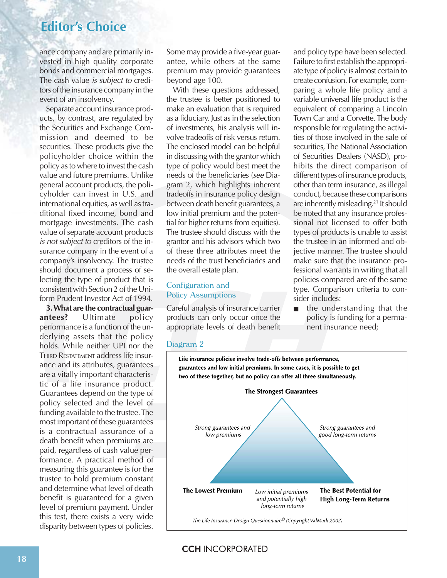ance company and are primarily invested in high quality corporate bonds and commercial mortgages. The cash value *is subject to* creditors of the insurance company in the event of an insolvency.

Separate account insurance products, by contrast, are regulated by the Securities and Exchange Commission and deemed to be securities. These products give the policyholder choice within the policy as to where to invest the cash value and future premiums. Unlike general account products, the policyholder can invest in U.S. and international equities, as well as traditional fixed income, bond and mortgage investments. The cash value of separate account products is not subject to creditors of the insurance company in the event of a company's insolvency. The trustee should document a process of selecting the type of product that is consistent with Section 2 of the Uniform Prudent Investor Act of 1994.

**3. What are the contractual guarantees?** Ultimate policy performance is a function of the underlying assets that the policy holds. While neither UPI nor the THIRD RESTATEMENT address life insurance and its attributes, guarantees are a vitally important characteristic of a life insurance product. Guarantees depend on the type of policy selected and the level of funding available to the trustee. The most important of these guarantees is a contractual assurance of a death benefit when premiums are paid, regardless of cash value performance. A practical method of measuring this guarantee is for the trustee to hold premium constant and determine what level of death benefit is guaranteed for a given level of premium payment. Under this test, there exists a very wide disparity between types of policies.

Some may provide a five-year guarantee, while others at the same premium may provide guarantees beyond age 100.

With these questions addressed, the trustee is better positioned to make an evaluation that is required as a fiduciary. Just as in the selection of investments, his analysis will involve tradeoffs of risk versus return. The enclosed model can be helpful in discussing with the grantor which type of policy would best meet the needs of the beneficiaries (see Diagram 2, which highlights inherent tradeoffs in insurance policy design between death benefit guarantees, a low initial premium and the potential for higher returns from equities). The trustee should discuss with the grantor and his advisors which two of these three attributes meet the needs of the trust beneficiaries and the overall estate plan.

#### Configuration and Policy Assumptions

Careful analysis of insurance carrier products can only occur once the appropriate levels of death benefit and policy type have been selected. Failure to first establish the appropriate type of policy is almost certain to create confusion. For example, comparing a whole life policy and a variable universal life product is the equivalent of comparing a Lincoln Town Car and a Corvette. The body responsible for regulating the activities of those involved in the sale of securities, The National Association of Securities Dealers (NASD), prohibits the direct comparison of different types of insurance products, other than term insurance, as illegal conduct, because these comparisons are inherently misleading.<sup>21</sup> It should be noted that any insurance professional not licensed to offer both types of products is unable to assist the trustee in an informed and obiective manner. The trustee should make sure that the insurance professional warrants in writing that all policies compared are of the same type. Comparison criteria to consider includes:

the understanding that the policy is funding for a permanent insurance need;

#### Diagram 2



#### **CCH INCORPORATED**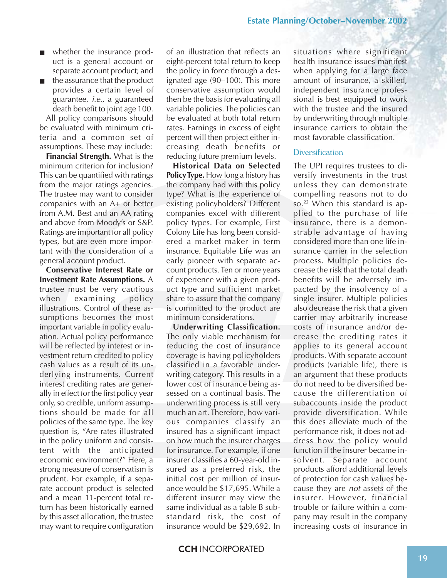- whether the insurance product is a general account or separate account product; and
- the assurance that the product provides a certain level of guarantee, i.e., a guaranteed death benefit to joint age 100.

All policy comparisons should be evaluated with minimum criteria and a common set of assumptions. These may include:

**Financial Strength.** What is the minimum criterion for inclusion? This can be quantified with ratings from the major ratings agencies. The trustee may want to consider companies with an A+ or better from A.M. Best and an AA rating and above from Moody's or S&P. Ratings are important for all policy types, but are even more important with the consideration of a general account product.

**Conservative Interest Rate or Investment Rate Assumptions.** A trustee must be very cautious when examining policy illustrations. Control of these assumptions becomes the most important variable in policy evaluation. Actual policy performance will be reflected by interest or investment return credited to policy cash values as a result of its underlying instruments. Current interest crediting rates are generally in effect for the first policy year only, so credible, uniform assumptions should be made for all policies of the same type. The key question is, "Are rates illustrated in the policy uniform and consistent with the anticipated economic environment?" Here, a strong measure of conservatism is prudent. For example, if a separate account product is selected and a mean 11-percent total return has been historically earned by this asset allocation, the trustee may want to require configuration

of an illustration that reflects an eight-percent total return to keep the policy in force through a designated age (90–100). This more conservative assumption would then be the basis for evaluating all variable policies. The policies can be evaluated at both total return rates. Earnings in excess of eight percent will then project either increasing death benefits or reducing future premium levels.

**Historical Data on Selected Policy Type.** How long a history has the company had with this policy type? What is the experience of existing policyholders? Different companies excel with different policy types. For example, First Colony Life has long been considered a market maker in term insurance. Equitable Life was an early pioneer with separate account products. Ten or more years of experience with a given product type and sufficient market share to assure that the company is committed to the product are minimum considerations.

**Underwriting Classification.** The only viable mechanism for reducing the cost of insurance coverage is having policyholders classified in a favorable underwriting category. This results in a lower cost of insurance being assessed on a continual basis. The underwriting process is still very much an art. Therefore, how various companies classify an insured has a significant impact on how much the insurer charges for insurance. For example, if one insurer classifies a 60-year-old insured as a preferred risk, the initial cost per million of insurance would be \$17,695. While a different insurer may view the same individual as a table B substandard risk, the cost of insurance would be \$29,692. In

situations where significant health insurance issues manifest when applying for a large face amount of insurance, a skilled, independent insurance professional is best equipped to work with the trustee and the insured by underwriting through multiple insurance carriers to obtain the most favorable classification.

#### **Diversification**

The UPI requires trustees to diversify investments in the trust unless they can demonstrate compelling reasons not to do so.<sup>22</sup> When this standard is applied to the purchase of life insurance, there is a demonstrable advantage of having considered more than one life insurance carrier in the selection process. Multiple policies decrease the risk that the total death benefits will be adversely impacted by the insolvency of a single insurer. Multiple policies also decrease the risk that a given carrier may arbitrarily increase costs of insurance and/or decrease the crediting rates it applies to its general account products. With separate account products (variable life), there is an argument that these products do not need to be diversified because the differentiation of subaccounts inside the product provide diversification. While this does alleviate much of the performance risk, it does not address how the policy would function if the insurer became insolvent. Separate account products afford additional levels of protection for cash values because they are not assets of the insurer. However, financial trouble or failure within a company may result in the company increasing costs of insurance in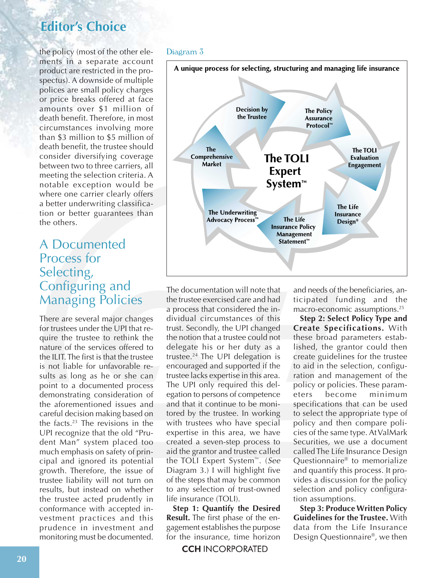the policy (most of the other elements in a separate account product are restricted in the prospectus). A downside of multiple polices are small policy charges or price breaks offered at face amounts over \$1 million of death benefit. Therefore, in most circumstances involving more than \$3 million to \$5 million of death benefit, the trustee should consider diversifying coverage between two to three carriers, all meeting the selection criteria. A notable exception would be where one carrier clearly offers a better underwriting classification or better guarantees than the others.

# A Documented Process for Selecting, Configuring and Managing Policies

There are several major changes for trustees under the UPI that require the trustee to rethink the nature of the services offered to the ILIT. The first is that the trustee is not liable for unfavorable results as long as he or she can point to a documented process demonstrating consideration of the aforementioned issues and careful decision making based on the facts.23 The revisions in the UPI recognize that the old "Prudent Man" system placed too much emphasis on safety of principal and ignored its potential growth. Therefore, the issue of trustee liability will not turn on results, but instead on whether the trustee acted prudently in conformance with accepted investment practices and this prudence in investment and monitoring must be documented.

#### Diagram 3



The documentation will note that the trustee exercised care and had a process that considered the individual circumstances of this trust. Secondly, the UPI changed the notion that a trustee could not delegate his or her duty as a trustee.24 The UPI delegation is encouraged and supported if the trustee lacks expertise in this area. The UPI only required this delegation to persons of competence and that it continue to be monitored by the trustee. In working with trustees who have special expertise in this area, we have created a seven-step process to aid the grantor and trustee called the TOLI Expert System™. (See Diagram 3.) I will highlight five of the steps that may be common to any selection of trust-owned life insurance (TOLI).

**Step 1: Quantify the Desired Result.** The first phase of the engagement establishes the purpose for the insurance, time horizon

**CCH INCORPORATED** 

and needs of the beneficiaries, anticipated funding and the macro-economic assumptions.25

**Step 2: Select Policy Type and Create Specifications.** With these broad parameters established, the grantor could then create guidelines for the trustee to aid in the selection, configuration and management of the policy or policies. These param-<br>eters become minimum eters become minimum specifications that can be used to select the appropriate type of policy and then compare policies of the same type. At ValMark Securities, we use a document called The Life Insurance Design Questionnaire® to memorialize and quantify this process. It provides a discussion for the policy selection and policy configuration assumptions.

**Step 3: Produce Written Policy Guidelines for the Trustee.** With data from the Life Insurance Design Questionnaire®, we then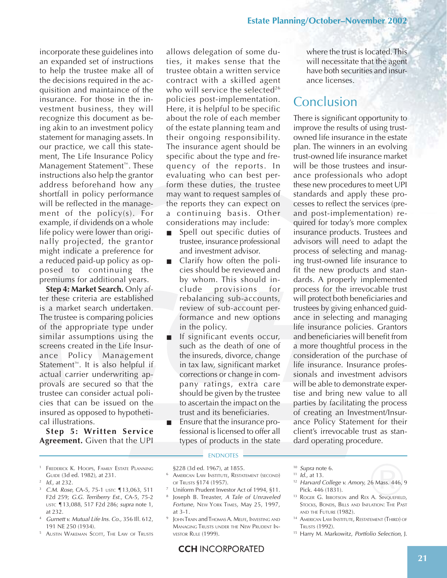incorporate these guidelines into an expanded set of instructions to help the trustee make all of the decisions required in the acquisition and maintaince of the insurance. For those in the investment business, they will recognize this document as being akin to an investment policy statement for managing assets. In our practice, we call this statement, The Life Insurance Policy Management Statement™. These instructions also help the grantor address beforehand how any shortfall in policy performance will be reflected in the management of the policy(s). For example, if dividends on a whole life policy were lower than originally projected, the grantor might indicate a preference for a reduced paid-up policy as opposed to continuing the premiums for additional years.

**Step 4: Market Search.** Only after these criteria are established is a market search undertaken. The trustee is comparing policies of the appropriate type under similar assumptions using the screens created in the Life Insurance Policy Management Statement™. It is also helpful if actual carrier underwriting approvals are secured so that the trustee can consider actual policies that can be issued on the insured as opposed to hypothetical illustrations.

**Step 5: Written Service Agreement.** Given that the UPI

- <sup>1</sup> FREDERICK K. HOOPS, FAMILY ESTATE PLANNING GUIDE (3d ed. 1982), at 231.
- $1$  *Id.*, at 232.
- C.M. Rose, CA-5, 75-1 USTC 13,063, 511 F2d 259; G.G. Terriberry Est., CA-5, 75-2 USTC ¶13,088, 517 F2d 286; supra note 1, at 232.
- <sup>4</sup> Gurnett v. Mutual Life Ins. Co., 356 Ill. 612, 191 NE 250 (1934).
- <sup>5</sup> AUSTIN WAKEMAN SCOTT, THE LAW OF TRUSTS

allows delegation of some duties, it makes sense that the trustee obtain a written service contract with a skilled agent who will service the selected<sup>26</sup> policies post-implementation. Here, it is helpful to be specific about the role of each member of the estate planning team and their ongoing responsibility. The insurance agent should be specific about the type and frequency of the reports. In evaluating who can best perform these duties, the trustee may want to request samples of the reports they can expect on a continuing basis. Other considerations may include:

- Spell out specific duties of trustee, insurance professional and investment advisor.
- Clarify how often the policies should be reviewed and by whom. This should include provisions for rebalancing sub-accounts, review of sub-account performance and new options in the policy.
- If significant events occur, such as the death of one of the insureds, divorce, change in tax law, significant market corrections or change in company ratings, extra care should be given by the trustee to ascertain the impact on the trust and its beneficiaries.
- Ensure that the insurance professional is licensed to offer all types of products in the state

#### **ENDNOTES**

§228 (3d ed. 1967), at 1855.

- <sup>6</sup> AMERICAN LAW INSTITUTE, RESTATEMENT (SECOND) OF TRUSTS §174 (1957).
- Uniform Prudent Investor Act of 1994, §11.
- Joseph B. Treaster, A Tale of Unraveled Fortune, NEW YORK TIMES, May 25, 1997, at 3-1.
- JOHN TRAIN and THOMAS A. MELFE, INVESTING AND MANAGING TRUSTS UNDER THE NEW PRUDENT IN-VESTOR RULE (1999).

where the trust is located. This will necessitate that the agent have both securities and insurance licenses.

## **Conclusion**

There is significant opportunity to improve the results of using trustowned life insurance in the estate plan. The winners in an evolving trust-owned life insurance market will be those trustees and insurance professionals who adopt these new procedures to meet UPI standards and apply these processes to reflect the services (preand post-implementation) required for today's more complex insurance products. Trustees and advisors will need to adapt the process of selecting and managing trust-owned life insurance to fit the new products and standards. A properly implemented process for the irrevocable trust will protect both beneficiaries and trustees by giving enhanced guidance in selecting and managing life insurance policies. Grantors and beneficiaries will benefit from a more thoughtful process in the consideration of the purchase of life insurance. Insurance professionals and investment advisors will be able to demonstrate expertise and bring new value to all parties by facilitating the process of creating an Investment/Insurance Policy Statement for their client's irrevocable trust as standard operating procedure.

- <sup>10</sup> Supra note 6.
- $11$  *Id.*, at 13.
- <sup>12</sup> Harvard College v. Amory, 26 Mass. 446, 9 Pick. 446 (1831).
- <sup>13</sup> ROGER G. IBBOTSON and REX A. SINQUEFIELD, STOCKS, BONDS, BILLS AND INFLATION: THE PAST AND THE FUTURE (1982).
- <sup>14</sup> AMERICAN LAW INSTITUTE, RESTATEMENT (THIRD) OF TRUSTS (1992).
- <sup>15</sup> Harry M. Markowitz, Portfolio Selection, J.